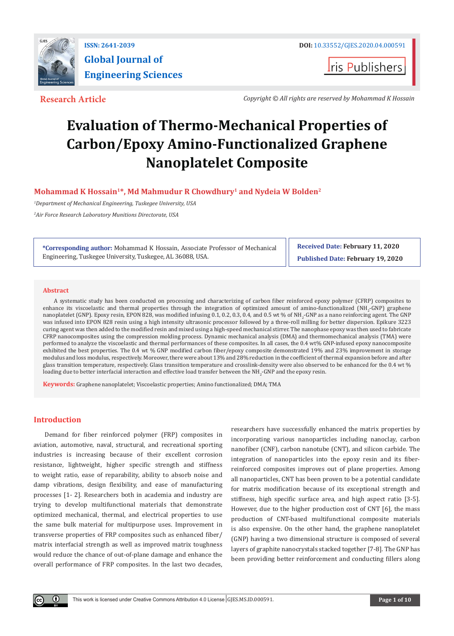

**I**ris Publishers

**Research Article** *Copyright © All rights are reserved by Mohammad K Hossain*

# **Evaluation of Thermo-Mechanical Properties of Carbon/Epoxy Amino-Functionalized Graphene Nanoplatelet Composite**

# **Mohammad K Hossain1\*, Md Mahmudur R Chowdhury1 and Nydeia W Bolden2**

*1 Department of Mechanical Engineering, Tuskegee University, USA*

*2 Air Force Research Laboratory Munitions Directorate, USA*

**\*Corresponding author:** Mohammad K Hossain, Associate Professor of Mechanical Engineering, Tuskegee University, Tuskegee, AL 36088, USA.

**Received Date: February 11, 2020 Published Date: February 19, 2020**

### **Abstract**

A systematic study has been conducted on processing and characterizing of carbon fiber reinforced epoxy polymer (CFRP) composites to enhance its viscoelastic and thermal properties through the integration of optimized amount of amino-functionalized (NH<sub>2</sub>-GNP) graphene nanoplatelet (GNP). Epoxy resin, EPON 828, was modified infusing 0.1, 0.2, 0.3, 0.4, and 0.5 wt % of NH<sub>2</sub>-GNP as a nano reinforcing agent. The GNP was infused into EPON 828 resin using a high intensity ultrasonic processor followed by a three-roll milling for better dispersion. Epikure 3223 curing agent was then added to the modified resin and mixed using a high-speed mechanical stirrer. The nanophase epoxy was then used to fabricate CFRP nanocomposites using the compression molding process. Dynamic mechanical analysis (DMA) and thermomechanical analysis (TMA) were performed to analyze the viscoelastic and thermal performances of these composites. In all cases, the 0.4 wt% GNP-infused epoxy nanocomposite exhibited the best properties. The 0.4 wt % GNP modified carbon fiber/epoxy composite demonstrated 19% and 23% improvement in storage modulus and loss modulus, respectively. Moreover, there were about 13% and 28% reduction in the coefficient of thermal expansion before and after glass transition temperature, respectively. Glass transition temperature and crosslink-density were also observed to be enhanced for the 0.4 wt % loading due to better interfacial interaction and effective load transfer between the NH<sub>2</sub>-GNP and the epoxy resin.

**Keywords:** Graphene nanoplatelet; Viscoelastic properties; Amino functionalized; DMA; TMA

# **Introduction**

 $\left( \cdot \right)$ 

Demand for fiber reinforced polymer (FRP) composites in aviation, automotive, naval, structural, and recreational sporting industries is increasing because of their excellent corrosion resistance, lightweight, higher specific strength and stiffness to weight ratio, ease of reparability, ability to absorb noise and damp vibrations, design flexibility, and ease of manufacturing processes [1- 2]. Researchers both in academia and industry are trying to develop multifunctional materials that demonstrate optimized mechanical, thermal, and electrical properties to use the same bulk material for multipurpose uses. Improvement in transverse properties of FRP composites such as enhanced fiber/ matrix interfacial strength as well as improved matrix toughness would reduce the chance of out-of-plane damage and enhance the overall performance of FRP composites. In the last two decades,

researchers have successfully enhanced the matrix properties by incorporating various nanoparticles including nanoclay, carbon nanofiber (CNF), carbon nanotube (CNT), and silicon carbide. The integration of nanoparticles into the epoxy resin and its fiberreinforced composites improves out of plane properties. Among all nanoparticles, CNT has been proven to be a potential candidate for matrix modification because of its exceptional strength and stiffness, high specific surface area, and high aspect ratio [3-5]. However, due to the higher production cost of CNT [6], the mass production of CNT-based multifunctional composite materials is also expensive. On the other hand, the graphene nanoplatelet (GNP) having a two dimensional structure is composed of several layers of graphite nanocrystals stacked together [7-8]. The GNP has been providing better reinforcement and conducting fillers along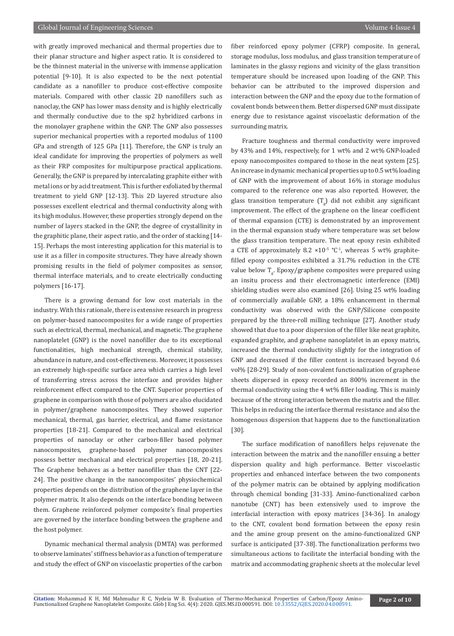with greatly improved mechanical and thermal properties due to their planar structure and higher aspect ratio. It is considered to be the thinnest material in the universe with immense application potential [9-10]. It is also expected to be the next potential candidate as a nanofiller to produce cost-effective composite materials. Compared with other classic 2D nanofillers such as nanoclay, the GNP has lower mass density and is highly electrically and thermally conductive due to the sp2 hybridized carbons in the monolayer graphene within the GNP. The GNP also possesses superior mechanical properties with a reported modulus of 1100 GPa and strength of 125 GPa [11]. Therefore, the GNP is truly an ideal candidate for improving the properties of polymers as well as their FRP composites for multipurpose practical applications. Generally, the GNP is prepared by intercalating graphite either with metal ions or by acid treatment. This is further exfoliated by thermal treatment to yield GNP [12-13]. This 2D layered structure also possesses excellent electrical and thermal conductivity along with its high modulus. However, these properties strongly depend on the number of layers stacked in the GNP, the degree of crystallinity in the graphitic plane, their aspect ratio, and the order of stacking [14- 15]. Perhaps the most interesting application for this material is to use it as a filler in composite structures. They have already shown promising results in the field of polymer composites as sensor, thermal interface materials, and to create electrically conducting polymers [16-17].

There is a growing demand for low cost materials in the industry. With this rationale, there is extensive research in progress on polymer-based nanocomposites for a wide range of properties such as electrical, thermal, mechanical, and magnetic. The graphene nanoplatelet (GNP) is the novel nanofiller due to its exceptional functionalities, high mechanical strength, chemical stability, abundance in nature, and cost-effectiveness. Moreover, it possesses an extremely high-specific surface area which carries a high level of transferring stress across the interface and provides higher reinforcement effect compared to the CNT. Superior properties of graphene in comparison with those of polymers are also elucidated in polymer/graphene nanocomposites. They showed superior mechanical, thermal, gas barrier, electrical, and flame resistance properties [18-21]. Compared to the mechanical and electrical properties of nanoclay or other carbon-filler based polymer nanocomposites, graphene-based polymer nanocomposites possess better mechanical and electrical properties [18, 20-21]. The Graphene behaves as a better nanofiller than the CNT [22- 24]. The positive change in the nanocomposites' physiochemical properties depends on the distribution of the graphene layer in the polymer matrix. It also depends on the interface bonding between them. Graphene reinforced polymer composite's final properties are governed by the interface bonding between the graphene and the host polymer.

Dynamic mechanical thermal analysis (DMTA) was performed to observe laminates' stiffness behavior as a function of temperature and study the effect of GNP on viscoelastic properties of the carbon fiber reinforced epoxy polymer (CFRP) composite. In general, storage modulus, loss modulus, and glass transition temperature of laminates in the glassy regions and vicinity of the glass transition temperature should be increased upon loading of the GNP. This behavior can be attributed to the improved dispersion and interaction between the GNP and the epoxy due to the formation of covalent bonds between them. Better dispersed GNP must dissipate energy due to resistance against viscoelastic deformation of the surrounding matrix.

Fracture toughness and thermal conductivity were improved by 43% and 14%, respectively, for 1 wt% and 2 wt% GNP-loaded epoxy nanocomposites compared to those in the neat system [25]. An increase in dynamic mechanical properties up to 0.5 wt% loading of GNP with the improvement of about 16% in storage modulus compared to the reference one was also reported. However, the glass transition temperature  $\left(1_{\rm g}\right)$  did not exhibit any significant improvement. The effect of the graphene on the linear coefficient of thermal expansion (CTE) is demonstrated by an improvement in the thermal expansion study where temperature was set below the glass transition temperature. The neat epoxy resin exhibited a CTE of approximately 8.2  $\times$ 10<sup>-5</sup> °C<sup>-1</sup>, whereas 5 wt% graphitefilled epoxy composites exhibited a 31.7% reduction in the CTE value below 1<sub>g</sub>. Epoxy/graphene composites were prepared using an insitu process and their electromagnetic interference (EMI) shielding studies were also examined [26]. Using 25 wt% loading of commercially available GNP, a 18% enhancement in thermal conductivity was observed with the GNP/Silicone composite prepared by the three-roll milling technique [27]. Another study showed that due to a poor dispersion of the filler like neat graphite, expanded graphite, and graphene nanoplatelet in an epoxy matrix, increased the thermal conductivity slightly for the integration of GNP and decreased if the filler content is increased beyond 0.6 vol% [28-29]. Study of non-covalent functionalization of graphene sheets dispersed in epoxy recorded an 800% increment in the thermal conductivity using the 4 wt% filler loading. This is mainly because of the strong interaction between the matrix and the filler. This helps in reducing the interface thermal resistance and also the homogenous dispersion that happens due to the functionalization [30].

The surface modification of nanofillers helps rejuvenate the interaction between the matrix and the nanofiller ensuing a better dispersion quality and high performance. Better viscoelastic properties and enhanced interface between the two components of the polymer matrix can be obtained by applying modification through chemical bonding [31-33]. Amino-functionalized carbon nanotube (CNT) has been extensively used to improve the interfacial interaction with epoxy matrices [34-36]. In analogy to the CNT, covalent bond formation between the epoxy resin and the amine group present on the amino-functionalized GNP surface is anticipated [37-38]. The functionalization performs two simultaneous actions to facilitate the interfacial bonding with the matrix and accommodating graphenic sheets at the molecular level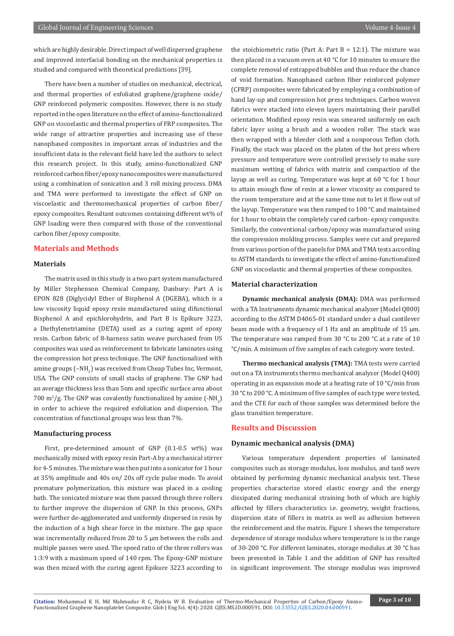which are highly desirable. Direct impact of well dispersed graphene and improved interfacial bonding on the mechanical properties is studied and compared with theoretical predictions [39].

There have been a number of studies on mechanical, electrical, and thermal properties of exfoliated graphene/graphene oxide/ GNP reinforced polymeric composites. However, there is no study reported in the open literature on the effect of amino-functionalized GNP on viscoelastic and thermal properties of FRP composites. The wide range of attractive properties and increasing use of these nanophased composites in important areas of industries and the insufficient data in the relevant field have led the authors to select this research project. In this study, amino-functionalized GNP reinforced carbon fiber/epoxy nanocomposites were manufactured using a combination of sonication and 3 roll mixing process. DMA and TMA were performed to investigate the effect of GNP on viscoelastic and thermomechanical properties of carbon fiber/ epoxy composites. Resultant outcomes containing different wt% of GNP loading were then compared with those of the conventional carbon fiber/epoxy composite.

# **Materials and Methods**

#### **Materials**

The matrix used in this study is a two part system manufactured by Miller Stephenson Chemical Company, Danbury: Part A is EPON 828 (Diglycidyl Ether of Bisphenol A (DGEBA), which is a low viscosity liquid epoxy resin manufactured using difunctional Bisphenol A and epichlorohydrin, and Part B is Epikure 3223, a Diethylenetriamine (DETA) used as a curing agent of epoxy resin. Carbon fabric of 8-harness satin weave purchased from US composites was used as reinforcement to fabricate laminates using the compression hot press technique. The GNP functionalized with amine groups  $\mathsf{(-NH}_2\mathsf{)}$  was received from Cheap Tubes Inc, Vermont, USA. The GNP consists of small stacks of graphene. The GNP had an average thickness less than 5nm and specific surface area about 700 m<sup>2</sup>/g. The GNP was covalently functionalized by amine  $(-NH<sub>2</sub>)$ in order to achieve the required exfoliation and dispersion. The concentration of functional groups was less than 7%.

#### **Manufacturing process**

First, pre-determined amount of GNP (0.1-0.5 wt%) was mechanically mixed with epoxy resin Part-A by a mechanical stirrer for 4-5 minutes. The mixture was then put into a sonicator for 1 hour at 35% amplitude and 40s on/ 20s off cycle pulse mode. To avoid premature polymerization, this mixture was placed in a cooling bath. The sonicated mixture was then passed through three rollers to further improve the dispersion of GNP. In this process, GNPs were further de-agglomerated and uniformly dispersed in resin by the induction of a high shear force in the mixture. The gap space was incrementally reduced from 20 to 5 μm between the rolls and multiple passes were used. The speed ratio of the three rollers was 1:3:9 with a maximum speed of 140 rpm. The Epoxy-GNP mixture was then mixed with the curing agent Epikure 3223 according to

the stoichiometric ratio (Part A: Part B =  $12:1$ ). The mixture was then placed in a vacuum oven at 40 °C for 10 minutes to ensure the complete removal of entrapped bubbles and thus reduce the chance of void formation. Nanophased carbon fiber reinforced polymer (CFRP) composites were fabricated by employing a combination of hand lay-up and compression hot press techniques. Carbon woven fabrics were stacked into eleven layers maintaining their parallel orientation. Modified epoxy resin was smeared uniformly on each fabric layer using a brush and a wooden roller. The stack was then wrapped with a bleeder cloth and a nonporous Teflon cloth. Finally, the stack was placed on the platen of the hot press where pressure and temperature were controlled precisely to make sure maximum wetting of fabrics with matrix and compaction of the layup as well as curing. Temperature was kept at 60 °C for 1 hour to attain enough flow of resin at a lower viscosity as compared to the room temperature and at the same time not to let it flow out of the layup. Temperature was then ramped to 100 °C and maintained for 1 hour to obtain the completely cured carbon- epoxy composite. Similarly, the conventional carbon/epoxy was manufactured using the compression molding process. Samples were cut and prepared from various portion of the panels for DMA and TMA tests according to ASTM standards to investigate the effect of amino-functionalized GNP on viscoelastic and thermal properties of these composites.

#### **Material characterization**

**Dynamic mechanical analysis (DMA):** DMA was performed with a TA Instruments dynamic mechanical analyzer (Model Q800) according to the ASTM D4065-01 standard under a dual cantilever beam mode with a frequency of 1 Hz and an amplitude of 15  $\mu$ m. The temperature was ramped from 30 °C to 200 °C at a rate of 10 °C/min. A minimum of five samples of each category were tested.

**Thermo mechanical analysis (TMA):** TMA tests were carried out on a TA instruments thermo mechanical analyzer (Model Q400) operating in an expansion mode at a heating rate of 10 °C/min from 30 °C to 200 °C. A minimum of five samples of each type were tested, and the CTE for each of those samples was determined before the glass transition temperature.

# **Results and Discussion**

#### **Dynamic mechanical analysis (DMA)**

Various temperature dependent properties of laminated composites such as storage modulus, loss modulus, and tanδ were obtained by performing dynamic mechanical analysis test. These properties characterize stored elastic energy and the energy dissipated during mechanical straining both of which are highly affected by fillers characteristics i.e. geometry, weight fractions, dispersion state of fillers in matrix as well as adhesion between the reinforcement and the matrix. Figure 1 shows the temperature dependence of storage modulus where temperature is in the range of 30-200 °C. For different laminates, storage modulus at 30 °C has been presented in Table 1 and the addition of GNP has resulted in significant improvement. The storage modulus was improved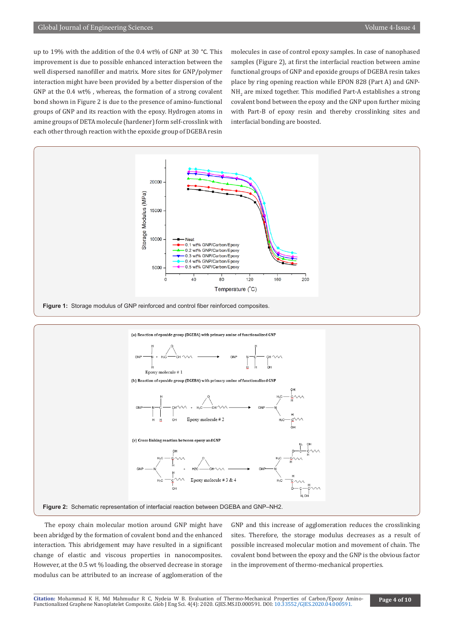up to 19% with the addition of the 0.4 wt% of GNP at 30 °C. This improvement is due to possible enhanced interaction between the well dispersed nanofiller and matrix. More sites for GNP/polymer interaction might have been provided by a better dispersion of the GNP at the 0.4 wt% , whereas, the formation of a strong covalent bond shown in Figure 2 is due to the presence of amino-functional groups of GNP and its reaction with the epoxy. Hydrogen atoms in amine groups of DETA molecule (hardener) form self-crosslink with each other through reaction with the epoxide group of DGEBA resin

molecules in case of control epoxy samples. In case of nanophased samples (Figure 2), at first the interfacial reaction between amine functional groups of GNP and epoxide groups of DGEBA resin takes place by ring opening reaction while EPON 828 (Part A) and GNP- $NH_{2}$  are mixed together. This modified Part-A establishes a strong covalent bond between the epoxy and the GNP upon further mixing with Part-B of epoxy resin and thereby crosslinking sites and interfacial bonding are boosted.



**Figure 2:** Schematic representation of interfacial reaction between DGEBA and GNP–NH2.

The epoxy chain molecular motion around GNP might have been abridged by the formation of covalent bond and the enhanced interaction. This abridgement may have resulted in a significant change of elastic and viscous properties in nanocomposites. However, at the 0.5 wt % loading, the observed decrease in storage modulus can be attributed to an increase of agglomeration of the

GNP and this increase of agglomeration reduces the crosslinking sites. Therefore, the storage modulus decreases as a result of possible increased molecular motion and movement of chain. The covalent bond between the epoxy and the GNP is the obvious factor in the improvement of thermo-mechanical properties.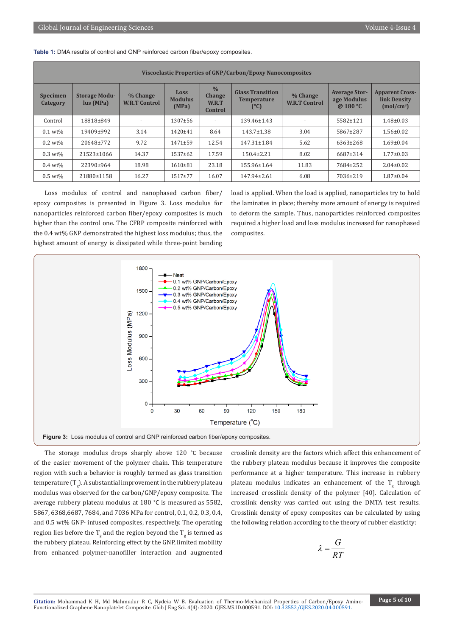**Table 1:** DMA results of control and GNP reinforced carbon fiber/epoxy composites.

| <b>Viscoelastic Properties of GNP/Carbon/Epoxy Nanocomposites</b> |                                   |                                  |                                        |                                                    |                                                       |                                  |                                                 |                                                          |  |  |  |
|-------------------------------------------------------------------|-----------------------------------|----------------------------------|----------------------------------------|----------------------------------------------------|-------------------------------------------------------|----------------------------------|-------------------------------------------------|----------------------------------------------------------|--|--|--|
| <b>Specimen</b><br>Category                                       | <b>Storage Modu-</b><br>lus (MPa) | % Change<br><b>W.R.T Control</b> | <b>Loss</b><br><b>Modulus</b><br>(MPa) | $\frac{0}{0}$<br><b>Change</b><br>W.R.T<br>Control | <b>Glass Transition</b><br><b>Temperature</b><br>(°C) | % Change<br><b>W.R.T Control</b> | <b>Average Stor-</b><br>age Modulus<br>@ 180 °C | <b>Apparent Cross-</b><br>link Density<br>$(mod/cm^{3})$ |  |  |  |
| Control                                                           | 18818±849                         | $\overline{\phantom{0}}$         | $1307 \pm 56$                          | $\overline{\phantom{a}}$                           | 139.46±1.43                                           | $\overline{\phantom{a}}$         | 5582±121                                        | $1.48 \pm 0.03$                                          |  |  |  |
| $0.1$ wt%                                                         | 19409±992                         | 3.14                             | 1420±41                                | 8.64                                               | $143.7 \pm 1.38$                                      | 3.04                             | 5867±287                                        | $1.56 \pm 0.02$                                          |  |  |  |
| $0.2~\rm{wt}$ %                                                   | 20648±772                         | 9.72                             | $1471 + 59$                            | 12.54                                              | $147.31 \pm 1.84$                                     | 5.62                             | $6363 \pm 268$                                  | $1.69 \pm 0.04$                                          |  |  |  |
| $0.3~wt\%$                                                        | 21523±1066                        | 14.37                            | $1537+62$                              | 17.59                                              | $150.4 \pm 2.21$                                      | 8.02                             | 6687±314                                        | $1.77 \pm 0.03$                                          |  |  |  |
| $0.4~wt\%$                                                        | 22390±964                         | 18.98                            | 1610±81                                | 23.18                                              | 155.96±1.64                                           | 11.83                            | 7684±252                                        | $2.04 \pm 0.02$                                          |  |  |  |
| $0.5~wt\%$                                                        | 21880±1158                        | 16.27                            | $1517 + 77$                            | 16.07                                              | $147.94 \pm 2.61$                                     | 6.08                             | 7036±219                                        | $1.87 \pm 0.04$                                          |  |  |  |

Loss modulus of control and nanophased carbon fiber/ epoxy composites is presented in Figure 3. Loss modulus for nanoparticles reinforced carbon fiber/epoxy composites is much higher than the control one. The CFRP composite reinforced with the 0.4 wt% GNP demonstrated the highest loss modulus; thus, the highest amount of energy is dissipated while three-point bending

load is applied. When the load is applied, nanoparticles try to hold the laminates in place; thereby more amount of energy is required to deform the sample. Thus, nanoparticles reinforced composites required a higher load and loss modulus increased for nanophased composites.



The storage modulus drops sharply above 120 °C because of the easier movement of the polymer chain. This temperature region with such a behavior is roughly termed as glass transition temperature (T $_{\rm g}$ ). A substantial improvement in the rubbery plateau modulus was observed for the carbon/GNP/epoxy composite. The average rubbery plateau modulus at 180 °C is measured as 5582, 5867, 6368,6687, 7684, and 7036 MPa for control, 0.1, 0.2, 0.3, 0.4, and 0.5 wt% GNP- infused composites, respectively. The operating region lies before the T<sub>g</sub> and the region beyond the T<sub>g</sub> is termed as the rubbery plateau. Reinforcing effect by the GNP, limited mobility from enhanced polymer-nanofiller interaction and augmented

crosslink density are the factors which affect this enhancement of the rubbery plateau modulus because it improves the composite performance at a higher temperature. This increase in rubbery plateau modulus indicates an enhancement of the  $T_{\rm g}$  through increased crosslink density of the polymer [40]. Calculation of crosslink density was carried out using the DMTA test results. Crosslink density of epoxy composites can be calculated by using the following relation according to the theory of rubber elasticity:

$$
\lambda = \frac{G}{RT}
$$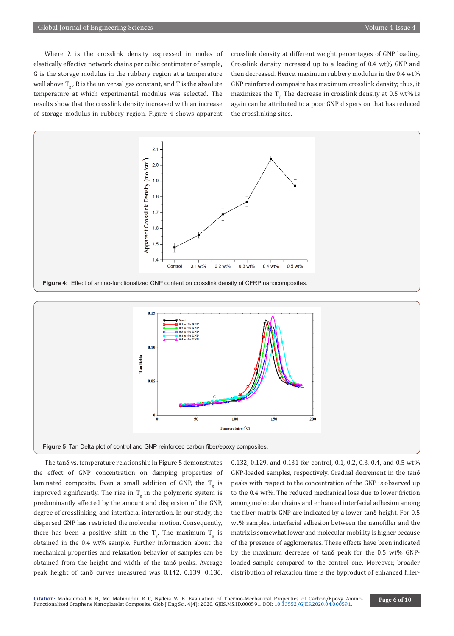Where  $\lambda$  is the crosslink density expressed in moles of elastically effective network chains per cubic centimeter of sample, G is the storage modulus in the rubbery region at a temperature well above  $\mathbf{I}_\mathbf{g}$  ,  $\mathbf{R}$  is the universal gas constant, and T is the absolute temperature at which experimental modulus was selected. The results show that the crosslink density increased with an increase of storage modulus in rubbery region. Figure 4 shows apparent

crosslink density at different weight percentages of GNP loading. Crosslink density increased up to a loading of 0.4 wt% GNP and then decreased. Hence, maximum rubbery modulus in the 0.4 wt% GNP reinforced composite has maximum crosslink density; thus, it maximizes the  $I_g$ . The decrease in crosslink density at 0.5 wt% is again can be attributed to a poor GNP dispersion that has reduced the crosslinking sites.





The tanδ vs. temperature relationship in Figure 5 demonstrates the effect of GNP concentration on damping properties of laminated composite. Even a small addition of GNP, the T<sub>g</sub> is improved significantly. The rise in  $T_{\rm g}$  in the polymeric system is predominantly affected by the amount and dispersion of the GNP, degree of crosslinking, and interfacial interaction. In our study, the dispersed GNP has restricted the molecular motion. Consequently, there has been a positive shift in the  $T_g$ . The maximum  $T_g$  is obtained in the 0.4 wt% sample. Further information about the mechanical properties and relaxation behavior of samples can be obtained from the height and width of the tanδ peaks. Average peak height of tanδ curves measured was 0.142, 0.139, 0.136,

0.132, 0.129, and 0.131 for control, 0.1, 0.2, 0.3, 0.4, and 0.5 wt% GNP-loaded samples, respectively. Gradual decrement in the tanδ peaks with respect to the concentration of the GNP is observed up to the 0.4 wt%. The reduced mechanical loss due to lower friction among molecular chains and enhanced interfacial adhesion among the fiber-matrix-GNP are indicated by a lower tanδ height. For 0.5 wt% samples, interfacial adhesion between the nanofiller and the matrix is somewhat lower and molecular mobility is higher because of the presence of agglomerates. These effects have been indicated by the maximum decrease of tanδ peak for the 0.5 wt% GNPloaded sample compared to the control one. Moreover, broader distribution of relaxation time is the byproduct of enhanced filler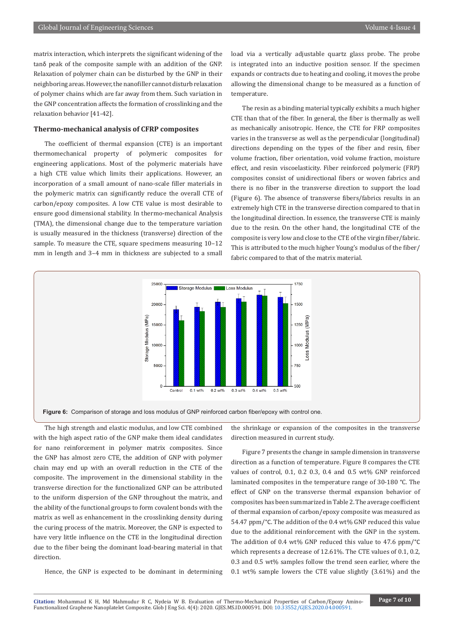matrix interaction, which interprets the significant widening of the tanδ peak of the composite sample with an addition of the GNP. Relaxation of polymer chain can be disturbed by the GNP in their neighboring areas. However, the nanofiller cannot disturb relaxation of polymer chains which are far away from them. Such variation in the GNP concentration affects the formation of crosslinking and the relaxation behavior [41-42].

# **Thermo-mechanical analysis of CFRP composites**

The coefficient of thermal expansion (CTE) is an important thermomechanical property of polymeric composites for engineering applications. Most of the polymeric materials have a high CTE value which limits their applications. However, an incorporation of a small amount of nano-scale filler materials in the polymeric matrix can significantly reduce the overall CTE of carbon/epoxy composites. A low CTE value is most desirable to ensure good dimensional stability. In thermo-mechanical Analysis (TMA), the dimensional change due to the temperature variation is usually measured in the thickness (transverse) direction of the sample. To measure the CTE, square specimens measuring 10–12 mm in length and 3–4 mm in thickness are subjected to a small

load via a vertically adjustable quartz glass probe. The probe is integrated into an inductive position sensor. If the specimen expands or contracts due to heating and cooling, it moves the probe allowing the dimensional change to be measured as a function of temperature.

The resin as a binding material typically exhibits a much higher CTE than that of the fiber. In general, the fiber is thermally as well as mechanically anisotropic. Hence, the CTE for FRP composites varies in the transverse as well as the perpendicular (longitudinal) directions depending on the types of the fiber and resin, fiber volume fraction, fiber orientation, void volume fraction, moisture effect, and resin viscoelasticity. Fiber reinforced polymeric (FRP) composites consist of unidirectional fibers or woven fabrics and there is no fiber in the transverse direction to support the load (Figure 6). The absence of transverse fibers/fabrics results in an extremely high CTE in the transverse direction compared to that in the longitudinal direction. In essence, the transverse CTE is mainly due to the resin. On the other hand, the longitudinal CTE of the composite is very low and close to the CTE of the virgin fiber/fabric. This is attributed to the much higher Young's modulus of the fiber/ fabric compared to that of the matrix material.



**Figure 6:** Comparison of storage and loss modulus of GNP reinforced carbon fiber/epoxy with control one.

The high strength and elastic modulus, and low CTE combined with the high aspect ratio of the GNP make them ideal candidates for nano reinforcement in polymer matrix composites. Since the GNP has almost zero CTE, the addition of GNP with polymer chain may end up with an overall reduction in the CTE of the composite. The improvement in the dimensional stability in the transverse direction for the functionalized GNP can be attributed to the uniform dispersion of the GNP throughout the matrix, and the ability of the functional groups to form covalent bonds with the matrix as well as enhancement in the crosslinking density during the curing process of the matrix. Moreover, the GNP is expected to have very little influence on the CTE in the longitudinal direction due to the fiber being the dominant load-bearing material in that direction.

Hence, the GNP is expected to be dominant in determining

the shrinkage or expansion of the composites in the transverse direction measured in current study.

Figure 7 presents the change in sample dimension in transverse direction as a function of temperature. Figure 8 compares the CTE values of control, 0.1, 0.2 0.3, 0.4 and 0.5 wt% GNP reinforced laminated composites in the temperature range of 30-180 °C. The effect of GNP on the transverse thermal expansion behavior of composites has been summarized in Table 2. The average coefficient of thermal expansion of carbon/epoxy composite was measured as 54.47 ppm/°C. The addition of the 0.4 wt% GNP reduced this value due to the additional reinforcement with the GNP in the system. The addition of 0.4 wt% GNP reduced this value to 47.6 ppm/°C which represents a decrease of 12.61%. The CTE values of 0.1, 0.2, 0.3 and 0.5 wt% samples follow the trend seen earlier, where the 0.1 wt% sample lowers the CTE value slightly (3.61%) and the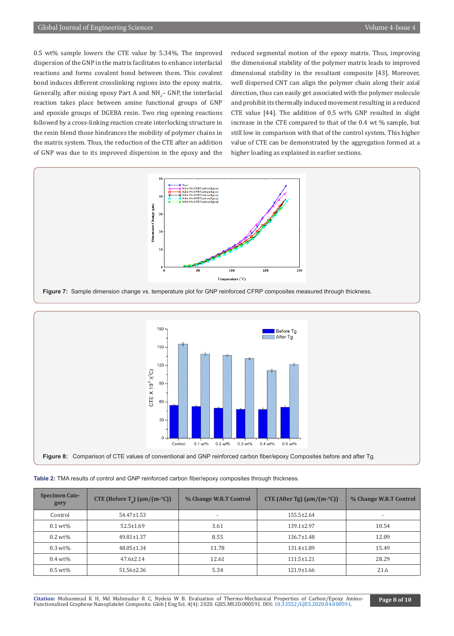0.5 wt% sample lowers the CTE value by 5.34%. The improved dispersion of the GNP in the matrix facilitates to enhance interfacial reactions and forms covalent bond between them. This covalent bond induces different crosslinking regions into the epoxy matrix. Generally, after mixing epoxy Part A and  $NH_2-$  GNP, the interfacial reaction takes place between amine functional groups of GNP and epoxide groups of DGEBA resin. Two ring opening reactions followed by a cross-linking reaction create interlocking structure in the resin blend those hindrances the mobility of polymer chains in the matrix system. Thus, the reduction of the CTE after an addition of GNP was due to its improved dispersion in the epoxy and the

reduced segmental motion of the epoxy matrix. Thus, improving the dimensional stability of the polymer matrix leads to improved dimensional stability in the resultant composite [43]. Moreover, well dispersed CNT can align the polymer chain along their axial direction, thus can easily get associated with the polymer molecule and prohibit its thermally induced movement resulting in a reduced CTE value [44]. The addition of 0.5 wt% GNP resulted in slight increase in the CTE compared to that of the 0.4 wt % sample, but still low in comparison with that of the control system. This higher value of CTE can be demonstrated by the aggregation formed at a higher loading as explained in earlier sections.





|  | Table 2: TMA results of control and GNP reinforced carbon fiber/epoxy composites through thickness. |  |
|--|-----------------------------------------------------------------------------------------------------|--|
|--|-----------------------------------------------------------------------------------------------------|--|

| Specimen Cate-<br>gory | CTE (Before $T_p$ ) ( $\mu$ m/(m-°C)) | % Change W.R.T Control | CTE (After Tg) $(\mu m/(m^{\circ}C))$ | % Change W.R.T Control |
|------------------------|---------------------------------------|------------------------|---------------------------------------|------------------------|
| Control                | 54.47±1.53                            |                        | $155.5 \pm 2.64$                      |                        |
| $0.1$ wt%              | $52.5 \pm 1.69$                       | 3.61                   | $139.1 \pm 2.97$                      | 10.54                  |
| $0.2~wt\%$             | $49.81 \pm 1.37$                      | 8.55                   | $136.7 \pm 1.48$                      | 12.09                  |
| $0.3 \text{ wt\%}$     | $48.05 \pm 1.34$                      | 11.78                  | 131.4±1.89                            | 15.49                  |
| $0.4~wt\%$             | $47.6 \pm 2.14$                       | 12.61                  | $111.5 \pm 1.21$                      | 28.29                  |
| $0.5~wt\%$             | 51.56±2.36                            | 5.34                   | $121.9 \pm 1.66$                      | 21.6                   |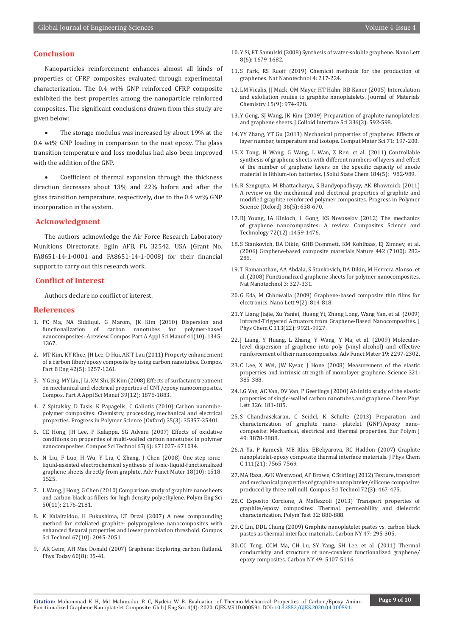# **Conclusion**

Nanoparticles reinforcement enhances almost all kinds of properties of CFRP composites evaluated through experimental characterization. The 0.4 wt% GNP reinforced CFRP composite exhibited the best properties among the nanoparticle reinforced composites. The significant conclusions drawn from this study are given below:

The storage modulus was increased by about 19% at the 0.4 wt% GNP loading in comparison to the neat epoxy. The glass transition temperature and loss modulus had also been improved with the addition of the GNP.

Coefficient of thermal expansion through the thickness direction decreases about 13% and 22% before and after the glass transition temperature, respectively, due to the 0.4 wt% GNP incorporation in the system.

# **Acknowledgment**

The authors acknowledge the Air Force Research Laboratory Munitions Directorate, Eglin AFB, FL 32542, USA (Grant No. FA8651-14-1-0001 and FA8651-14-1-0008) for their financial support to carry out this research work.

#### **Conflict of Interest**

Authors declare no conflict of interest.

#### **References**

- 1. PC Ma, NA Siddiqui, G Marom, JK Kim (2010) Dispersion and of carbon nanotubes for nanocomposites: A review. Compos Part A Appl Sci Manuf 41(10): 1345- 1367.
- 2. [MT Kim, KY Rhee, JH Lee, D Hui, AK T Lau \(2011\) Property enhancement](https://www.sciencedirect.com/science/article/abs/pii/S1359836811000783) [of a carbon fiber/epoxy composite by using carbon nanotubes. Compos.](https://www.sciencedirect.com/science/article/abs/pii/S1359836811000783) [Part B Eng 42\(5\): 1257-1261.](https://www.sciencedirect.com/science/article/abs/pii/S1359836811000783)
- 3. Y Geng, MY Liu, J Li, XM Shi, JK Kim (2008) Effects of surfactant treatment on mechanical and electrical properties of CNT/epoxy nanocomposites. Compos. Part A Appl Sci Manuf 39(12): 1876-1883.
- 4. Z Spitalsky, D Tasis, K Papagelis, C Galiotis (2010) Carbon nanotubepolymer composites: Chemistry, processing, mechanical and electrical properties. Progress in Polymer Science (Oxford) 35(3): 35357-35401.
- 5. CE Hong, JH Lee, P Kalappa, SG Advani (2007) Effects of oxidative conditions on properties of multi-walled carbon nanotubes in polymer nanocomposites. Compos Sci Technol 67(6): 671027- 671034.
- 6. [N Liu, F Luo, H Wu, Y Liu, C Zhang, J Chen \(2008\) One-step ionic](https://onlinelibrary.wiley.com/doi/abs/10.1002/adfm.200700797)[liquid-assisted electrochemical synthesis of ionic-liquid-functionalized](https://onlinelibrary.wiley.com/doi/abs/10.1002/adfm.200700797) [graphene sheets directly from graphite. Adv Funct Mater 18\(10\): 1518-](https://onlinelibrary.wiley.com/doi/abs/10.1002/adfm.200700797) [1525.](https://onlinelibrary.wiley.com/doi/abs/10.1002/adfm.200700797)
- 7. [L Wang, J Hong, G Chen \(2010\) Comparison study of graphite nanosheets](https://onlinelibrary.wiley.com/doi/abs/10.1002/pen.21751) [and carbon black as fillers for high density polyethylene. Polym Eng Sci](https://onlinelibrary.wiley.com/doi/abs/10.1002/pen.21751) [50\(11\): 2176-2181.](https://onlinelibrary.wiley.com/doi/abs/10.1002/pen.21751)
- 8. [K Kalaitzidou, H Fukushima, LT Drzal \(2007\) A new compounding](https://www.infona.pl/resource/bwmeta1.element.elsevier-b450a062-0201-3b25-bd1c-17a055b3cc91) [method for exfoliated graphite- polypropylene nanocomposites with](https://www.infona.pl/resource/bwmeta1.element.elsevier-b450a062-0201-3b25-bd1c-17a055b3cc91) [enhanced flexural properties and lower percolation threshold. Compos](https://www.infona.pl/resource/bwmeta1.element.elsevier-b450a062-0201-3b25-bd1c-17a055b3cc91) [Sci Technol 67\(10\): 2045-2051.](https://www.infona.pl/resource/bwmeta1.element.elsevier-b450a062-0201-3b25-bd1c-17a055b3cc91)
- 9. AK Geim, AH Mac Donald (2007) Graphene: Exploring carbon flatland. Phys Today 60(8): 35-41.
- 10. Y Si, ET Samulski (2008) Synthesis of water-soluble graphene. Nano Lett 8(6): 1679-1682.
- 11. [S Park, RS Ruoff \(2019\) Chemical methods for the production of](https://www.nature.com/articles/nnano.2009.58)  [graphenes. Nat Nanotechnol 4: 217-224.](https://www.nature.com/articles/nnano.2009.58)
- 12. LM Viculis, JJ Mack, OM Mayer, HT Hahn, RB Kaner (2005) Intercalation and exfoliation routes to graphite nanoplatelets. Journal of Materials Chemistry 15(9): 974-978.
- 13. [Y Geng, SJ Wang, JK Kim \(2009\) Preparation of graphite nanoplatelets](https://www.ncbi.nlm.nih.gov/pubmed/19414181)  [and graphene sheets. J Colloid Interface Sci 336\(2\): 592-598.](https://www.ncbi.nlm.nih.gov/pubmed/19414181)
- 14. [YY Zhang, YT Gu \(2013\) Mechanical properties of graphene: Effects of](https://eprints.qut.edu.au/57808/)  [layer number, temperature and isotope. Comput Mater Sci 71: 197-200.](https://eprints.qut.edu.au/57808/)
- 15. [X Tong, H Wang, G Wang, L Wan, Z Ren, et al. \(2011\) Controllable](https://www.tib.eu/en/search/id/BLSE%3ARN290175596/Controllable-synthesis-of-graphene-sheets-with/)  [synthesis of graphene sheets with different numbers of layers and effect](https://www.tib.eu/en/search/id/BLSE%3ARN290175596/Controllable-synthesis-of-graphene-sheets-with/)  [of the number of graphene layers on the specific capacity of anode](https://www.tib.eu/en/search/id/BLSE%3ARN290175596/Controllable-synthesis-of-graphene-sheets-with/)  [material in lithium-ion batteries. J Solid State Chem 184\(5\): 982-989.](https://www.tib.eu/en/search/id/BLSE%3ARN290175596/Controllable-synthesis-of-graphene-sheets-with/)
- 16. [R Sengupta, M Bhattacharya, S Bandyopadhyay, AK Bhowmick \(2011\)](https://www.tib.eu/en/search/id/ceaba%3ACEAB20110404383/A-review-on-the-mechanical-and-electrical-properties/)  [A review on the mechanical and electrical properties of graphite and](https://www.tib.eu/en/search/id/ceaba%3ACEAB20110404383/A-review-on-the-mechanical-and-electrical-properties/)  [modified graphite reinforced polymer composites. Progress in Polymer](https://www.tib.eu/en/search/id/ceaba%3ACEAB20110404383/A-review-on-the-mechanical-and-electrical-properties/)  [Science \(Oxford\) 36\(5\): 638-670.](https://www.tib.eu/en/search/id/ceaba%3ACEAB20110404383/A-review-on-the-mechanical-and-electrical-properties/)
- 17. [RJ Young, IA Kinloch, L Gong, KS Novoselov \(2012\) The mechanics](https://www.sciencedirect.com/science/article/abs/pii/S0266353812001789)  [of graphene nanocomposites: A review. Composites Science and](https://www.sciencedirect.com/science/article/abs/pii/S0266353812001789)  [Technology 72\(12\) :1459-1476.](https://www.sciencedirect.com/science/article/abs/pii/S0266353812001789)
- 18. [S Stankovich, DA Dikin, GHB Dommett, KM Kohlhaas, EJ Zimney, et al.](https://www.nature.com/articles/nature04969)  [\(2006\) Graphene-based composite materials Nature 442 \(7100\): 282-](https://www.nature.com/articles/nature04969) [286.](https://www.nature.com/articles/nature04969)
- 19. [T Ramanathan, AA Abdala, S Stankovich, DA Dikin, M Herrera Alonso, et](https://www.nature.com/articles/nnano.2008.96)  [al. \(2008\) Functionalized graphene sheets for polymer nanocomposites.](https://www.nature.com/articles/nnano.2008.96)  [Nat Nanotechnol 3: 327-331.](https://www.nature.com/articles/nnano.2008.96)
- 20. [G Eda, M Chhowalla \(2009\) Graphene-based composite thin films for](https://pubs.acs.org/doi/10.1021/nl8035367)  [electronics. Nano Lett 9\(2\) :814-818.](https://pubs.acs.org/doi/10.1021/nl8035367)
- 21. [Y Liang Jiajie, Xu Yanfei, Huang Yi, Zhang Long, Wang Yan, et al. \(2009\)](https://pubs.acs.org/doi/10.1021/jp901284d)  [Infrared-Triggered Actuators from Graphene-Based Nanocomposites. J](https://pubs.acs.org/doi/10.1021/jp901284d)  [Phys Chem C 113\(22\): 9921-9927.](https://pubs.acs.org/doi/10.1021/jp901284d)
- 22. [J Liang, Y Huang, L Zhang, Y Wang, Y Ma, et al. \(2009\) Molecular](https://onlinelibrary.wiley.com/doi/10.1002/adfm.200801776)[level dispersion of graphene into poly \(vinyl alcohol\) and effective](https://onlinelibrary.wiley.com/doi/10.1002/adfm.200801776)  [reinforcement of their nanocomposites. Adv Funct Mater 19: 2297-2302.](https://onlinelibrary.wiley.com/doi/10.1002/adfm.200801776)
- 23. [C Lee, X Wei, JW Kysar, J Hone \(2008\) Measurement of the elastic](https://science.sciencemag.org/content/321/5887/385.full)  [properties and intrinsic strength of monolayer graphene. Science 321:](https://science.sciencemag.org/content/321/5887/385.full)  [385-388.](https://science.sciencemag.org/content/321/5887/385.full)
- 24. [LG Van, AC Van, DV Van, P Geerlings \(2000\) Ab initio study of the elastic](https://www.sciencedirect.com/science/article/abs/pii/S0009261400007648)  [properties of single-walled carbon nanotubes and graphene. Chem Phys](https://www.sciencedirect.com/science/article/abs/pii/S0009261400007648)  [Lett 326: 181-185.](https://www.sciencedirect.com/science/article/abs/pii/S0009261400007648)
- 25. S Chandrasekaran, C Seidel, K Schulte (2013) Preparation and characterization of graphite nano- platelet (GNP)/epoxy nanocomposite: Mechanical, electrical and thermal properties. Eur Polym J 49: 3878-3888.
- 26. [A Yu, P Ramesh, ME Itkis, EBekyarova, RC Haddon \(2007\) Graphite](https://pubs.acs.org/doi/10.1021/jp071761s)  [nanoplatelet-epoxy composite thermal interface materials. J Phys Chem](https://pubs.acs.org/doi/10.1021/jp071761s)  [C 111\(21\): 7565-7569.](https://pubs.acs.org/doi/10.1021/jp071761s)
- 27. [MA Raza, AVK Westwood, AP Brown, C Stirling \(2012\) Texture, transport](https://www.sciencedirect.com/science/article/abs/pii/S0266353811004362)  [and mechanical properties of graphite nanoplatelet/silicone composites](https://www.sciencedirect.com/science/article/abs/pii/S0266353811004362)  [produced by three roll mill. Compos Sci Technol 72\(3\): 467-475.](https://www.sciencedirect.com/science/article/abs/pii/S0266353811004362)
- 28. [C Esposito Corcione, A Maffezzoli \(2013\) Transport properties of](https://www.sciencedirect.com/science/article/abs/pii/S0142941813000731)  [graphite/epoxy composites: Thermal, permeability and dielectric](https://www.sciencedirect.com/science/article/abs/pii/S0142941813000731)  [characterization. Polym Test 32: 880-888.](https://www.sciencedirect.com/science/article/abs/pii/S0142941813000731)
- 29. [C Lin, DDL Chung \(2009\) Graphite nanoplatelet pastes vs. carbon black](https://www.semanticscholar.org/paper/Graphite-nanoplatelet-pastes-vs.-carbon-black-as-Lin-Chung/4beda01c1660da221a0c0b0f4b4ff0204b06b7b4)  [pastes as thermal interface materials. Carbon NY 47: 295-305.](https://www.semanticscholar.org/paper/Graphite-nanoplatelet-pastes-vs.-carbon-black-as-Lin-Chung/4beda01c1660da221a0c0b0f4b4ff0204b06b7b4)
- 30. [CC Teng, CCM Ma, CH Lu, SY Yang, SH Lee, et al. \(2011\) Thermal](https://thermtest.com/papers/thermal-conductivity-and-structure-of-non-covalent-functionalized-grapheneepoxy-composites)  [conductivity and structure of non-covalent functionalized graphene/](https://thermtest.com/papers/thermal-conductivity-and-structure-of-non-covalent-functionalized-grapheneepoxy-composites) [epoxy composites. Carbon NY 49: 5107-5116.](https://thermtest.com/papers/thermal-conductivity-and-structure-of-non-covalent-functionalized-grapheneepoxy-composites)